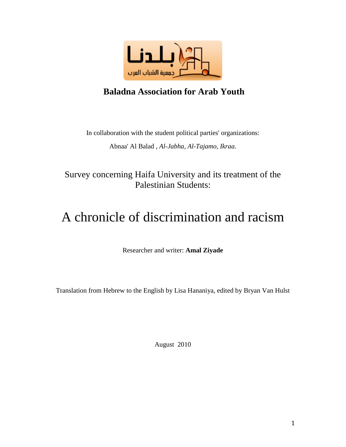

## **Baladna Association for Arab Youth**

In collaboration with the student political parties' organizations:

Abnaa' Al Balad , *Al-Jabha, Al-Tajamo*, *Ikraa.*

Survey concerning Haifa University and its treatment of the Palestinian Students:

# A chronicle of discrimination and racism

Researcher and writer: **Amal Ziyade**

Translation from Hebrew to the English by Lisa Hananiya, edited by Bryan Van Hulst

August 2010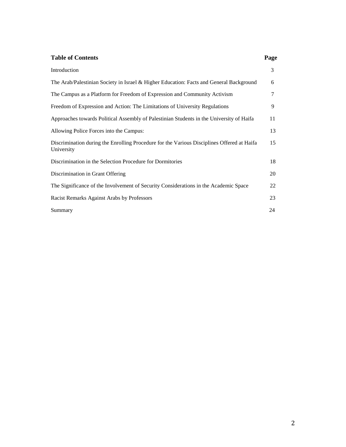#### **Table of Contents Page**

| Introduction                                                                                             | 3  |
|----------------------------------------------------------------------------------------------------------|----|
| The Arab/Palestinian Society in Israel & Higher Education: Facts and General Background                  | 6  |
| The Campus as a Platform for Freedom of Expression and Community Activism                                | 7  |
| Freedom of Expression and Action: The Limitations of University Regulations                              | 9  |
| Approaches towards Political Assembly of Palestinian Students in the University of Haifa                 | 11 |
| Allowing Police Forces into the Campus:                                                                  | 13 |
| Discrimination during the Enrolling Procedure for the Various Disciplines Offered at Haifa<br>University | 15 |
| Discrimination in the Selection Procedure for Dormitories                                                | 18 |
| Discrimination in Grant Offering                                                                         | 20 |
| The Significance of the Involvement of Security Considerations in the Academic Space                     | 22 |
| Racist Remarks Against Arabs by Professors                                                               | 23 |
| Summary                                                                                                  | 24 |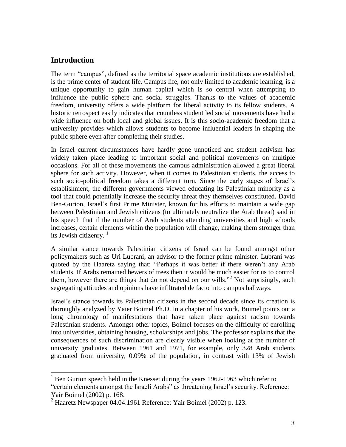### **Introduction**

The term "campus", defined as the territorial space academic institutions are established, is the prime center of student life. Campus life, not only limited to academic learning, is a unique opportunity to gain human capital which is so central when attempting to influence the public sphere and social struggles. Thanks to the values of academic freedom, university offers a wide platform for liberal activity to its fellow students. A historic retrospect easily indicates that countless student led social movements have had a wide influence on both local and global issues. It is this socio-academic freedom that a university provides which allows students to become influential leaders in shaping the public sphere even after completing their studies.

In Israel current circumstances have hardly gone unnoticed and student activism has widely taken place leading to important social and political movements on multiple occasions. For all of these movements the campus administration allowed a great liberal sphere for such activity. However, when it comes to Palestinian students, the access to such socio-political freedom takes a different turn. Since the early stages of Israel's establishment, the different governments viewed educating its Palestinian minority as a tool that could potentially increase the security threat they themselves constituted. David Ben-Gurion, Israel's first Prime Minister, known for his efforts to maintain a wide gap between Palestinian and Jewish citizens (to ultimately neutralize the Arab threat) said in his speech that if the number of Arab students attending universities and high schools increases, certain elements within the population will change, making them stronger than its Jewish citizenry. 1

A similar stance towards Palestinian citizens of Israel can be found amongst other policymakers such as Uri Lubrani, an advisor to the former prime minister. Lubrani was quoted by the Haaretz saying that: "Perhaps it was better if there weren't any Arab students. If Arabs remained hewers of trees then it would be much easier for us to control them, however there are things that do not depend on our wills.<sup> $2$ </sup> Not surprisingly, such segregating attitudes and opinions have infiltrated de facto into campus hallways.

Israel's stance towards its Palestinian citizens in the second decade since its creation is thoroughly analyzed by Yaier Boimel Ph.D. In a chapter of his work, Boimel points out a long chronology of manifestations that have taken place against racism towards Palestinian students. Amongst other topics, Boimel focuses on the difficulty of enrolling into universities, obtaining housing, scholarships and jobs. The professor explains that the consequences of such discrimination are clearly visible when looking at the number of university graduates. Between 1961 and 1971, for example, only 328 Arab students graduated from university, 0.09% of the population, in contrast with 13% of Jewish

 $\overline{a}$  $1$  Ben Gurion speech held in the Knesset during the years 1962-1963 which refer to "certain elements amongst the Israeli Arabs" as threatening Israel's security. Reference: Yair Boimel (2002) p. 168.

<sup>2</sup> Haaretz Newspaper 04.04.1961 Reference: Yair Boimel (2002) p. 123.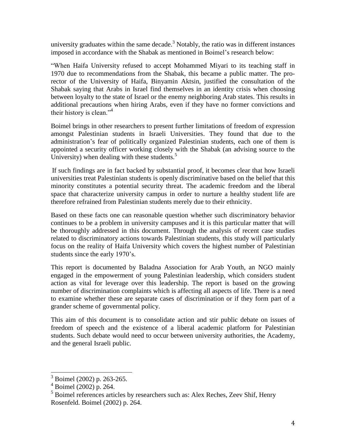university graduates within the same decade. $3$  Notably, the ratio was in different instances imposed in accordance with the Shabak as mentioned in Boimel's research below:

―When Haifa University refused to accept Mohammed Miyari to its teaching staff in 1970 due to recommendations from the Shabak, this became a public matter. The prorector of the University of Haifa, Binyamin Aktsin, justified the consultation of the Shabak saying that Arabs in Israel find themselves in an identity crisis when choosing between loyalty to the state of Israel or the enemy neighboring Arab states. This results in additional precautions when hiring Arabs, even if they have no former convictions and their history is clean." $4$ 

Boimel brings in other researchers to present further limitations of freedom of expression amongst Palestinian students in Israeli Universities. They found that due to the administration's fear of politically organized Palestinian students, each one of them is appointed a security officer working closely with the Shabak (an advising source to the University) when dealing with these students.<sup>5</sup>

If such findings are in fact backed by substantial proof, it becomes clear that how Israeli universities treat Palestinian students is openly discriminative based on the belief that this minority constitutes a potential security threat. The academic freedom and the liberal space that characterize university campus in order to nurture a healthy student life are therefore refrained from Palestinian students merely due to their ethnicity.

Based on these facts one can reasonable question whether such discriminatory behavior continues to be a problem in university campuses and it is this particular matter that will be thoroughly addressed in this document. Through the analysis of recent case studies related to discriminatory actions towards Palestinian students, this study will particularly focus on the reality of Haifa University which covers the highest number of Palestinian students since the early 1970's.

This report is documented by Baladna Association for Arab Youth, an NGO mainly engaged in the empowerment of young Palestinian leadership, which considers student action as vital for leverage over this leadership. The report is based on the growing number of discrimination complaints which is affecting all aspects of life. There is a need to examine whether these are separate cases of discrimination or if they form part of a grander scheme of governmental policy.

This aim of this document is to consolidate action and stir public debate on issues of freedom of speech and the existence of a liberal academic platform for Palestinian students. Such debate would need to occur between university authorities, the Academy, and the general Israeli public.

 $\overline{\phantom{a}}$ 

 $3$  Boimel (2002) p. 263-265.

 $4$  Boimel (2002) p. 264.

<sup>5</sup> Boimel references articles by researchers such as: Alex Reches, Zeev Shif, Henry Rosenfeld. Boimel (2002) p. 264.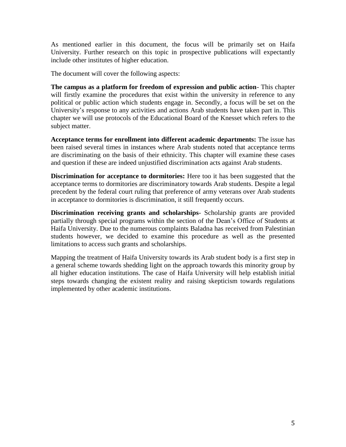As mentioned earlier in this document, the focus will be primarily set on Haifa University. Further research on this topic in prospective publications will expectantly include other institutes of higher education.

The document will cover the following aspects:

**The campus as a platform for freedom of expression and public action**- This chapter will firstly examine the procedures that exist within the university in reference to any political or public action which students engage in. Secondly, a focus will be set on the University's response to any activities and actions Arab students have taken part in. This chapter we will use protocols of the Educational Board of the Knesset which refers to the subject matter.

**Acceptance terms for enrollment into different academic departments:** The issue has been raised several times in instances where Arab students noted that acceptance terms are discriminating on the basis of their ethnicity. This chapter will examine these cases and question if these are indeed unjustified discrimination acts against Arab students.

**Discrimination for acceptance to dormitories:** Here too it has been suggested that the acceptance terms to dormitories are discriminatory towards Arab students. Despite a legal precedent by the federal court ruling that preference of army veterans over Arab students in acceptance to dormitories is discrimination, it still frequently occurs.

**Discrimination receiving grants and scholarships**- Scholarship grants are provided partially through special programs within the section of the Dean's Office of Students at Haifa University. Due to the numerous complaints Baladna has received from Palestinian students however, we decided to examine this procedure as well as the presented limitations to access such grants and scholarships.

Mapping the treatment of Haifa University towards its Arab student body is a first step in a general scheme towards shedding light on the approach towards this minority group by all higher education institutions. The case of Haifa University will help establish initial steps towards changing the existent reality and raising skepticism towards regulations implemented by other academic institutions.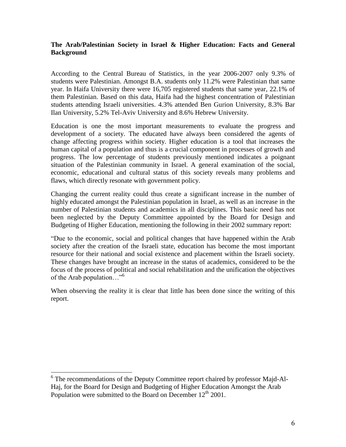#### **The Arab/Palestinian Society in Israel & Higher Education: Facts and General Background**

According to the Central Bureau of Statistics, in the year 2006-2007 only 9.3% of students were Palestinian. Amongst B.A. students only 11.2% were Palestinian that same year. In Haifa University there were 16,705 registered students that same year, 22.1% of them Palestinian. Based on this data, Haifa had the highest concentration of Palestinian students attending Israeli universities. 4.3% attended Ben Gurion University, 8.3% Bar Ilan University, 5.2% Tel-Aviv University and 8.6% Hebrew University.

Education is one the most important measurements to evaluate the progress and development of a society. The educated have always been considered the agents of change affecting progress within society. Higher education is a tool that increases the human capital of a population and thus is a crucial component in processes of growth and progress. The low percentage of students previously mentioned indicates a poignant situation of the Palestinian community in Israel. A general examination of the social, economic, educational and cultural status of this society reveals many problems and flaws, which directly resonate with government policy.

Changing the current reality could thus create a significant increase in the number of highly educated amongst the Palestinian population in Israel, as well as an increase in the number of Palestinian students and academics in all disciplines. This basic need has not been neglected by the Deputy Committee appointed by the Board for Design and Budgeting of Higher Education, mentioning the following in their 2002 summary report:

―Due to the economic, social and political changes that have happened within the Arab society after the creation of the Israeli state, education has become the most important resource for their national and social existence and placement within the Israeli society. These changes have brought an increase in the status of academics, considered to be the focus of the process of political and social rehabilitation and the unification the objectives of the Arab population..."<sup>6</sup>

When observing the reality it is clear that little has been done since the writing of this report.

 $\overline{a}$ <sup>6</sup> The recommendations of the Deputy Committee report chaired by professor Majd-Al-Haj, for the Board for Design and Budgeting of Higher Education Amongst the Arab Population were submitted to the Board on December  $12<sup>th</sup> 2001$ .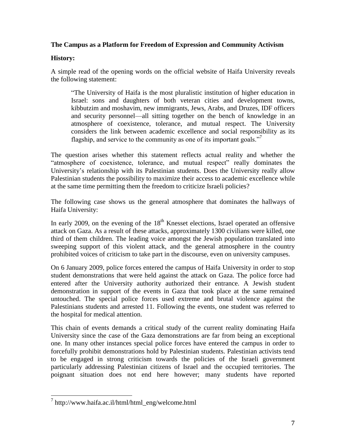#### **The Campus as a Platform for Freedom of Expression and Community Activism**

#### **History:**

A simple read of the opening words on the official website of Haifa University reveals the following statement:

―The University of Haifa is the most pluralistic institution of higher education in Israel: sons and daughters of both veteran cities and development towns, kibbutzim and moshavim, new immigrants, Jews, Arabs, and Druzes, IDF officers and security personnel—all sitting together on the bench of knowledge in an atmosphere of coexistence, tolerance, and mutual respect. The University considers the link between academic excellence and social responsibility as its flagship, and service to the community as one of its important goals."

The question arises whether this statement reflects actual reality and whether the ―atmosphere of coexistence, tolerance, and mutual respect‖ really dominates the University's relationship with its Palestinian students. Does the University really allow Palestinian students the possibility to maximize their access to academic excellence while at the same time permitting them the freedom to criticize Israeli policies?

The following case shows us the general atmosphere that dominates the hallways of Haifa University:

In early 2009, on the evening of the  $18<sup>th</sup>$  Knesset elections, Israel operated an offensive attack on Gaza. As a result of these attacks, approximately 1300 civilians were killed, one third of them children. The leading voice amongst the Jewish population translated into sweeping support of this violent attack, and the general atmosphere in the country prohibited voices of criticism to take part in the discourse, even on university campuses.

On 6 January 2009, police forces entered the campus of Haifa University in order to stop student demonstrations that were held against the attack on Gaza. The police force had entered after the University authority authorized their entrance. A Jewish student demonstration in support of the events in Gaza that took place at the same remained untouched. The special police forces used extreme and brutal violence against the Palestinians students and arrested 11. Following the events, one student was referred to the hospital for medical attention.

This chain of events demands a critical study of the current reality dominating Haifa University since the case of the Gaza demonstrations are far from being an exceptional one. In many other instances special police forces have entered the campus in order to forcefully prohibit demonstrations hold by Palestinian students. Palestinian activists tend to be engaged in strong criticism towards the policies of the Israeli government particularly addressing Palestinian citizens of Israel and the occupied territories. The poignant situation does not end here however; many students have reported

 7 http://www.haifa.ac.il/html/html\_eng/welcome.html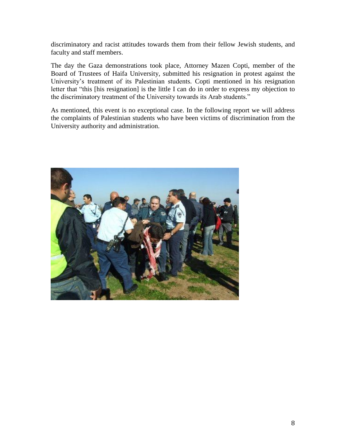discriminatory and racist attitudes towards them from their fellow Jewish students, and faculty and staff members.

The day the Gaza demonstrations took place, Attorney Mazen Copti, member of the Board of Trustees of Haifa University, submitted his resignation in protest against the University's treatment of its Palestinian students. Copti mentioned in his resignation letter that "this [his resignation] is the little I can do in order to express my objection to the discriminatory treatment of the University towards its Arab students."

As mentioned, this event is no exceptional case. In the following report we will address the complaints of Palestinian students who have been victims of discrimination from the University authority and administration.

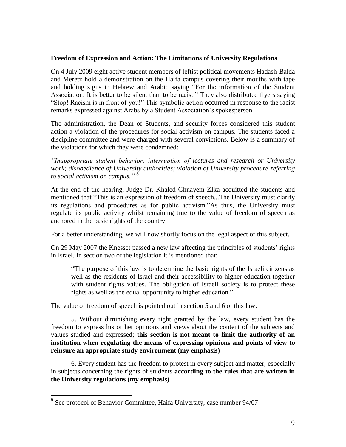#### **Freedom of Expression and Action: The Limitations of University Regulations**

On 4 July 2009 eight active student members of leftist political movements Hadash-Balda and Meretz hold a demonstration on the Haifa campus covering their mouths with tape and holding signs in Hebrew and Arabic saying "For the information of the Student Association: It is better to be silent than to be racist." They also distributed flyers saying ―Stop! Racism is in front of you!‖ This symbolic action occurred in response to the racist remarks expressed against Arabs by a Student Association's spokesperson

The administration, the Dean of Students, and security forces considered this student action a violation of the procedures for social activism on campus. The students faced a discipline committee and were charged with several convictions. Below is a summary of the violations for which they were condemned:

*"Inappropriate student behavior; interruption of lectures and research or University work; disobedience of University authorities; violation of University procedure referring to social activism on campus."* 8

At the end of the hearing, Judge Dr. Khaled Ghnayem ZIka acquitted the students and mentioned that "This is an expression of freedom of speech...The University must clarify its regulations and procedures as for public activism."As thus, the University must regulate its public activity whilst remaining true to the value of freedom of speech as anchored in the basic rights of the country.

For a better understanding, we will now shortly focus on the legal aspect of this subject.

On 29 May 2007 the Knesset passed a new law affecting the principles of students' rights in Israel. In section two of the legislation it is mentioned that:

―The purpose of this law is to determine the basic rights of the Israeli citizens as well as the residents of Israel and their accessibility to higher education together with student rights values. The obligation of Israeli society is to protect these rights as well as the equal opportunity to higher education."

The value of freedom of speech is pointed out in section 5 and 6 of this law:

5. Without diminishing every right granted by the law, every student has the freedom to express his or her opinions and views about the content of the subjects and values studied and expressed; **this section is not meant to limit the authority of an institution when regulating the means of expressing opinions and points of view to reinsure an appropriate study environment (my emphasis)**

6. Every student has the freedom to protest in every subject and matter, especially in subjects concerning the rights of students **according to the rules that are written in the University regulations (my emphasis)**

<sup>&</sup>lt;sup>8</sup> See protocol of Behavior Committee, Haifa University, case number 94/07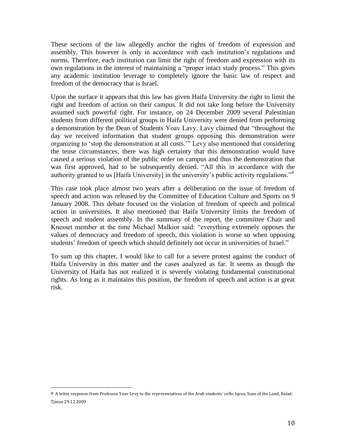These sections of the law allegedly anchor the rights of freedom of expression and assembly. This however is only in accordance with each institution's regulations and norms. Therefore, each institution can limit the right of freedom and expression with its own regulations in the interest of maintaining a "proper intact study process." This gives any academic institution leverage to completely ignore the basic law of respect and freedom of the democracy that is Israel.

Upon the surface it appears that this law has given Haifa University the right to limit the right and freedom of action on their campus. It did not take long before the University assumed such powerful right. For instance, on 24 December 2009 several Palestinian students from different political groups in Haifa University were denied from performing a demonstration by the Dean of Students Yoav Lavy. Lavy claimed that "throughout the day we received information that student groups opposing this demonstration were organizing to 'stop the demonstration at all costs.'" Levy also mentioned that considering the tense circumstances, there was high certainty that this demonstration would have caused a serious violation of the public order on campus and thus the demonstration that was first approved, had to be subsequently denied. "All this in accordance with the authority granted to us [Haifa University] in the university's public activity regulations."<sup>4</sup>

This case took place almost two years after a deliberation on the issue of freedom of speech and action was released by the Committee of Education Culture and Sports on 9 January 2008. This debate focused on the violation of freedom of speech and political action in universities. It also mentioned that Haifa University limits the freedom of speech and student assembly. In the summary of the report, the committee Chair and Knesset member at the time Michael Malkior said: "everything extremely opposes the values of democracy and freedom of speech, this violation is worse so when opposing students' freedom of speech which should definitely not occur in universities of Israel."

To sum up this chapter, I would like to call for a severe protest against the conduct of Haifa University in this matter and the cases analyzed as far. It seems as though the University of Haifa has not realized it is severely violating fundamental constitutional rights. As long as it maintains this position, the freedom of speech and action is at great risk.

 $\overline{a}$ 

<sup>9</sup> A letter response from Professor Yoav Levy to the representatives of the Arab students' cells: Iqraa, Sons of the Land, Balad-Tjmoo 29.12.2009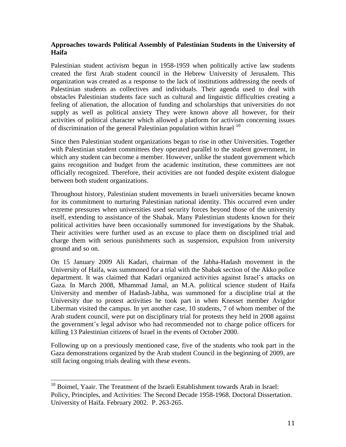#### **Approaches towards Political Assembly of Palestinian Students in the University of Haifa**

Palestinian student activism begun in 1958-1959 when politically active law students created the first Arab student council in the Hebrew University of Jerusalem. This organization was created as a response to the lack of institutions addressing the needs of Palestinian students as collectives and individuals. Their agenda used to deal with obstacles Palestinian students face such as cultural and linguistic difficulties creating a feeling of alienation, the allocation of funding and scholarships that universities do not supply as well as political anxiety They were known above all however, for their activities of political character which allowed a platform for activism concerning issues of discrimination of the general Palestinian population within Israel <sup>10</sup>

Since then Palestinian student organizations began to rise in other Universities. Together with Palestinian student committees they operated parallel to the student government, in which any student can become a member. However, unlike the student government which gains recognition and budget from the academic institution, these committees are not officially recognized. Therefore, their activities are not funded despite existent dialogue between both student organizations.

Throughout history, Palestinian student movements in Israeli universities became known for its commitment to nurturing Palestinian national identity. This occurred even under extreme pressures when universities used security forces beyond those of the university itself, extending to assistance of the Shabak. Many Palestinian students known for their political activities have been occasionally summoned for investigations by the Shabak. Their activities were further used as an excuse to place them on disciplined trial and charge them with serious punishments such as suspension, expulsion from university ground and so on.

On 15 January 2009 Ali Kadari, chairman of the Jabha-Hadash movement in the University of Haifa, was summoned for a trial with the Shabak section of the Akko police department. It was claimed that Kadari organized activities against Israel's attacks on Gaza. In March 2008, Mhammad Jamal, an M.A. political science student of Haifa University and member of Hadash-Jabha, was summoned for a discipline trial at the University due to protest activities he took part in when Knesset member Avigdor Liberman visited the campus. In yet another case, 10 students, 7 of whom member of the Arab student council, were put on disciplinary trial for protests they held in 2008 against the government's legal advisor who had recommended not to charge police officers for killing 13 Palestinian citizens of Israel in the events of October 2000.

Following up on a previously mentioned case, five of the students who took part in the Gaza demonstrations organized by the Arab student Council in the beginning of 2009, are still facing ongoing trials dealing with these events.

 $\overline{a}$  $10$  Boimel, Yaair. The Treatment of the Israeli Establishment towards Arab in Israel: Policy, Principles, and Activities: The Second Decade 1958-1968. Doctoral Dissertation. University of Haifa. February 2002. P. 263-265.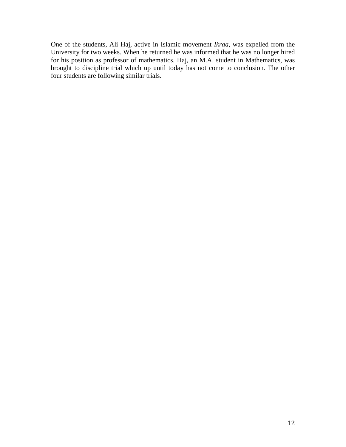One of the students, Ali Haj, active in Islamic movement *Ikraa*, was expelled from the University for two weeks. When he returned he was informed that he was no longer hired for his position as professor of mathematics. Haj, an M.A. student in Mathematics, was brought to discipline trial which up until today has not come to conclusion. The other four students are following similar trials.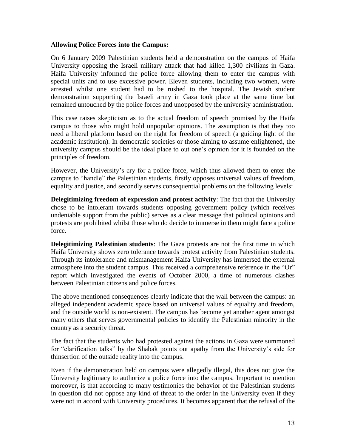#### **Allowing Police Forces into the Campus:**

On 6 January 2009 Palestinian students held a demonstration on the campus of Haifa University opposing the Israeli military attack that had killed 1,300 civilians in Gaza. Haifa University informed the police force allowing them to enter the campus with special units and to use excessive power. Eleven students, including two women, were arrested whilst one student had to be rushed to the hospital. The Jewish student demonstration supporting the Israeli army in Gaza took place at the same time but remained untouched by the police forces and unopposed by the university administration.

This case raises skepticism as to the actual freedom of speech promised by the Haifa campus to those who might hold unpopular opinions. The assumption is that they too need a liberal platform based on the right for freedom of speech (a guiding light of the academic institution). In democratic societies or those aiming to assume enlightened, the university campus should be the ideal place to out one's opinion for it is founded on the principles of freedom.

However, the University's cry for a police force, which thus allowed them to enter the campus to "handle" the Palestinian students, firstly opposes universal values of freedom, equality and justice, and secondly serves consequential problems on the following levels:

**Delegitimizing freedom of expression and protest activity**: The fact that the University chose to be intolerant towards students opposing government policy (which receives undeniable support from the public) serves as a clear message that political opinions and protests are prohibited whilst those who do decide to immerse in them might face a police force.

**Delegitimizing Palestinian students**: The Gaza protests are not the first time in which Haifa University shows zero tolerance towards protest activity from Palestinian students. Through its intolerance and mismanagement Haifa University has immersed the external atmosphere into the student campus. This received a comprehensive reference in the "Or" report which investigated the events of October 2000, a time of numerous clashes between Palestinian citizens and police forces.

The above mentioned consequences clearly indicate that the wall between the campus: an alleged independent academic space based on universal values of equality and freedom, and the outside world is non-existent. The campus has become yet another agent amongst many others that serves governmental policies to identify the Palestinian minority in the country as a security threat.

The fact that the students who had protested against the actions in Gaza were summoned for "clarification talks" by the Shabak points out apathy from the University's side for thinsertion of the outside reality into the campus.

Even if the demonstration held on campus were allegedly illegal, this does not give the University legitimacy to authorize a police force into the campus. Important to mention moreover, is that according to many testimonies the behavior of the Palestinian students in question did not oppose any kind of threat to the order in the University even if they were not in accord with University procedures. It becomes apparent that the refusal of the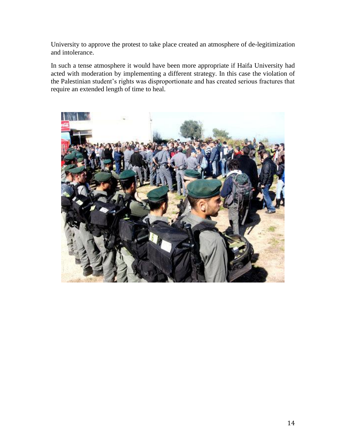University to approve the protest to take place created an atmosphere of de-legitimization and intolerance.

In such a tense atmosphere it would have been more appropriate if Haifa University had acted with moderation by implementing a different strategy. In this case the violation of the Palestinian student's rights was disproportionate and has created serious fractures that require an extended length of time to heal.

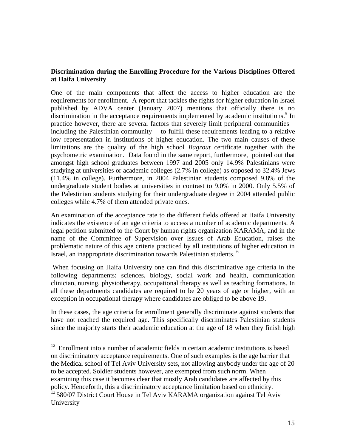#### **Discrimination during the Enrolling Procedure for the Various Disciplines Offered at Haifa University**

One of the main components that affect the access to higher education are the requirements for enrollment. A report that tackles the rights for higher education in Israel published by ADVA center (January 2007) mentions that officially there is no discrimination in the acceptance requirements implemented by academic institutions.<sup>5</sup> In practice however, there are several factors that severely limit peripheral communities – including the Palestinian community— to fulfill these requirements leading to a relative low representation in institutions of higher education. The two main causes of these limitations are the quality of the high school *Bagrout* certificate together with the psychometric examination. Data found in the same report, furthermore, pointed out that amongst high school graduates between 1997 and 2005 only 14.9% Palestinians were studying at universities or academic colleges (2.7% in college) as opposed to 32.4% Jews (11.4% in college). Furthermore, in 2004 Palestinian students composed 9.8% of the undergraduate student bodies at universities in contrast to 9.0% in 2000. Only 5.5% of the Palestinian students studying for their undergraduate degree in 2004 attended public colleges while 4.7% of them attended private ones.

An examination of the acceptance rate to the different fields offered at Haifa University indicates the existence of an age criteria to access a number of academic departments. A legal petition submitted to the Court by human rights organization KARAMA, and in the name of the Committee of Supervision over Issues of Arab Education, raises the problematic nature of this age criteria practiced by all institutions of higher education in Israel, an inappropriate discrimination towards Palestinian students.<sup>6</sup>

When focusing on Haifa University one can find this discriminative age criteria in the following departments: sciences, biology, social work and health, communication clinician, nursing, physiotherapy, occupational therapy as well as teaching formations. In all these departments candidates are required to be 20 years of age or higher, with an exception in occupational therapy where candidates are obliged to be above 19.

In these cases, the age criteria for enrollment generally discriminate against students that have not reached the required age. This specifically discriminates Palestinian students since the majority starts their academic education at the age of 18 when they finish high

 $\overline{a}$  $12$  Enrollment into a number of academic fields in certain academic institutions is based on discriminatory acceptance requirements. One of such examples is the age barrier that the Medical school of Tel Aviv University sets, not allowing anybody under the age of 20 to be accepted. Soldier students however, are exempted from such norm. When examining this case it becomes clear that mostly Arab candidates are affected by this policy. Henceforth, this a discriminatory acceptance limitation based on ethnicity.

 $^{13}$  580/07 District Court House in Tel Aviv KARAMA organization against Tel Aviv University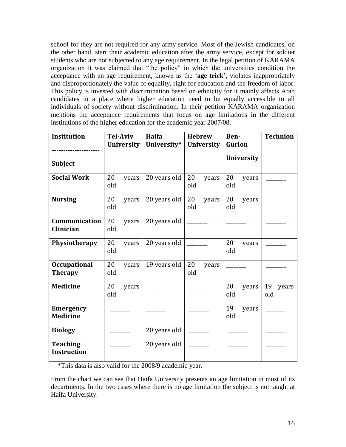school for they are not required for any army service. Most of the Jewish candidates, on the other hand, start their academic education after the army service, except for soldier students who are not subjected to any age requirement. In the legal petition of KARAMA organization it was claimed that "the policy" in which the universities condition the acceptance with an age requirement, known as the ‗**age trick**', violates inappropriately and disproportionately the value of equality, right for education and the freedom of labor. This policy is invested with discrimination based on ethnicity for it mainly affects Arab candidates in a place where higher education need to be equally accessible to all individuals of society without discrimination. In their petition KARAMA organization mentions the acceptance requirements that focus on age limitations in the different institutions of the higher education for the academic year 2007/08.

| Institution                           | <b>Tel-Aviv</b><br><b>University</b> | Haifa<br>University* | <b>Hebrew</b><br><b>University</b> | Ben-<br><b>Gurion</b> | <b>Technion</b>    |
|---------------------------------------|--------------------------------------|----------------------|------------------------------------|-----------------------|--------------------|
|                                       |                                      |                      |                                    | <b>University</b>     |                    |
| <b>Subject</b>                        |                                      |                      |                                    |                       |                    |
| <b>Social Work</b>                    | 20<br>years<br>old                   | 20 years old         | 20<br>years<br>old                 | 20<br>years<br>old    |                    |
| <b>Nursing</b>                        | 20<br>years<br>old                   | 20 years old         | 20<br>years<br>old                 | 20<br>years<br>old    |                    |
| Communication<br>Clinician            | 20<br>years<br>old                   | 20 years old         |                                    |                       |                    |
| Physiotherapy                         | 20<br>years<br>old                   | 20 years old         |                                    | 20<br>years<br>old    |                    |
| <b>Occupational</b><br><b>Therapy</b> | 20<br>years<br>old                   | 19 years old         | 20<br>years<br>old                 |                       |                    |
| <b>Medicine</b>                       | 20<br>years<br>old                   |                      |                                    | 20<br>years<br>old    | 19<br>years<br>old |
| <b>Emergency</b><br><b>Medicine</b>   |                                      |                      |                                    | 19<br>years<br>old    |                    |
| <b>Biology</b>                        |                                      | 20 years old         |                                    |                       |                    |
| <b>Teaching</b><br><b>Instruction</b> |                                      | 20 years old         |                                    |                       |                    |

\*This data is also valid for the 2008/9 academic year.

From the chart we can see that Haifa University presents an age limitation in most of its departments. In the two cases where there is no age limitation the subject is not taught at Haifa University.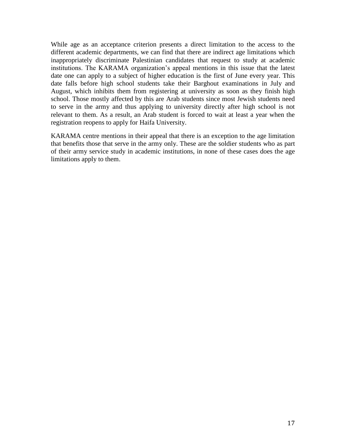While age as an acceptance criterion presents a direct limitation to the access to the different academic departments, we can find that there are indirect age limitations which inappropriately discriminate Palestinian candidates that request to study at academic institutions. The KARAMA organization's appeal mentions in this issue that the latest date one can apply to a subject of higher education is the first of June every year. This date falls before high school students take their Barghout examinations in July and August, which inhibits them from registering at university as soon as they finish high school. Those mostly affected by this are Arab students since most Jewish students need to serve in the army and thus applying to university directly after high school is not relevant to them. As a result, an Arab student is forced to wait at least a year when the registration reopens to apply for Haifa University.

KARAMA centre mentions in their appeal that there is an exception to the age limitation that benefits those that serve in the army only. These are the soldier students who as part of their army service study in academic institutions, in none of these cases does the age limitations apply to them.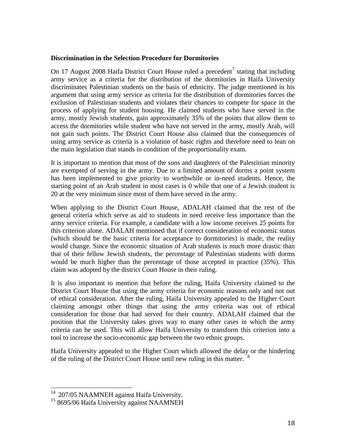#### **Discrimination in the Selection Procedure for Dormitories**

On 17 August 2008 Haifa District Court House ruled a precedent<sup>7</sup> stating that including army service as a criteria for the distribution of the dormitories in Haifa University discriminates Palestinian students on the basis of ethnicity. The judge mentioned in his argument that using army service as criteria for the distribution of dormitories forces the exclusion of Palestinian students and violates their chances to compete for space in the process of applying for student housing. He claimed students who have served in the army, mostly Jewish students, gain approximately 35% of the points that allow them to access the dormitories while student who have not served in the army, mostly Arab, will not gain such points. The District Court House also claimed that the consequences of using army service as criteria is a violation of basic rights and therefore need to lean on the main legislation that stands in condition of the proportionality exam.

It is important to mention that most of the sons and daughters of the Palestinian minority are exempted of serving in the army. Due to a limited amount of dorms a point system has been implemented to give priority to worthwhile or in-need students. Hence, the starting point of an Arab student in most cases is 0 while that one of a Jewish student is 20 at the very minimum since most of them have served in the army.

When applying to the District Court House, ADALAH claimed that the rest of the general criteria which serve as aid to students in need receive less importance than the army service criteria. For example, a candidate with a low income receives 25 points for this criterion alone. ADALAH mentioned that if correct consideration of economic status (which should be the basic criteria for acceptance to dormitories) is made, the reality would change. Since the economic situation of Arab students is much more drastic than that of their fellow Jewish students, the percentage of Palestinian students with dorms would be much higher than the percentage of those accepted in practice (35%). This claim was adopted by the district Court House in their ruling.

It is also important to mention that before the ruling, Haifa University claimed to the District Court House that using the army criteria for economic reasons only and not out of ethical consideration. After the ruling, Haifa University appealed to the Higher Court claiming amongst other things that using the army criteria was out of ethical consideration for those that had served for their country. ADALAH claimed that the position that the University takes gives way to many other cases in which the army criteria can be used. This will allow Haifa University to transform this criterion into a tool to increase the socio-economic gap between the two ethnic groups.

Haifa University appealed to the Higher Court which allowed the delay or the hindering of the ruling of the District Court House until new ruling in this matter.<sup>8</sup>

 $\overline{a}$ 

 $14$  207/05 NAAMNEH against Haifa University.

<sup>&</sup>lt;sup>15</sup> 8695/06 Haifa University against NAAMNEH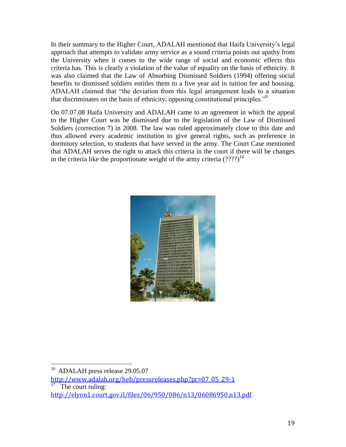In their summary to the Higher Court, ADALAH mentioned that Haifa University's legal approach that attempts to validate army service as a sound criteria points out apathy from the University when it comes to the wide range of social and economic effects this criteria has. This is clearly a violation of the value of equality on the basis of ethnicity. It was also claimed that the Law of Absorbing Dismissed Soldiers (1994) offering social benefits to dismissed soldiers entitles them to a five year aid in tuition fee and housing. ADALAH claimed that "the deviation from this legal arrangement leads to a situation that discriminates on the basis of ethnicity, opposing constitutional principles."<sup>9</sup>

On 07.07.08 Haifa University and ADALAH came to an agreement in which the appeal to the Higher Court was be dismissed due to the legislation of the Law of Dismissed Soldiers (correction 7) in 2008. The law was ruled approximately close to this date and thus allowed every academic institution to give general rights, such as preference in dormitory selection, to students that have served in the army. The Court Case mentioned that ADALAH serves the right to attack this criteria in the court if there will be changes in the criteria like the proportionate weight of the army criteria  $(???)^{10}$ 



The court ruling:

 $\overline{a}$ <sup>16</sup> ADALAH press release 29.05.07

[http://www.adalah.org/heb/pressreleases.php?pr=07\\_05\\_29-1](http://www.adalah.org/heb/pressreleases.php?pr=07_05_29-1)

<http://elyon1.court.gov.il/files/06/950/086/n13/06086950.n13.pdf>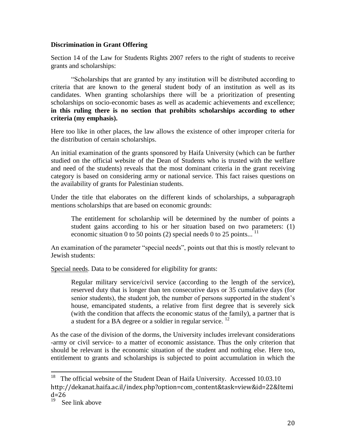#### **Discrimination in Grant Offering**

Section 14 of the Law for Students Rights 2007 refers to the right of students to receive grants and scholarships:

―Scholarships that are granted by any institution will be distributed according to criteria that are known to the general student body of an institution as well as its candidates. When granting scholarships there will be a prioritization of presenting scholarships on socio-economic bases as well as academic achievements and excellence; **in this ruling there is no section that prohibits scholarships according to other criteria (my emphasis).** 

Here too like in other places, the law allows the existence of other improper criteria for the distribution of certain scholarships.

An initial examination of the grants sponsored by Haifa University (which can be further studied on the official website of the Dean of Students who is trusted with the welfare and need of the students) reveals that the most dominant criteria in the grant receiving category is based on considering army or national service. This fact raises questions on the availability of grants for Palestinian students.

Under the title that elaborates on the different kinds of scholarships, a subparagraph mentions scholarships that are based on economic grounds:

The entitlement for scholarship will be determined by the number of points a student gains according to his or her situation based on two parameters: (1) economic situation 0 to 50 points (2) special needs 0 to 25 points...  $11$ 

An examination of the parameter "special needs", points out that this is mostly relevant to Jewish students:

Special needs. Data to be considered for eligibility for grants:

Regular military service/civil service (according to the length of the service), reserved duty that is longer than ten consecutive days or 35 cumulative days (for senior students), the student job, the number of persons supported in the student's house, emancipated students, a relative from first degree that is severely sick (with the condition that affects the economic status of the family), a partner that is a student for a BA degree or a soldier in regular service.  $^{12}$ 

As the case of the division of the dorms, the University includes irrelevant considerations -army or civil service- to a matter of economic assistance. Thus the only criterion that should be relevant is the economic situation of the student and nothing else. Here too, entitlement to grants and scholarships is subjected to point accumulation in which the

 $\overline{a}$ 

<sup>&</sup>lt;sup>18</sup> The official website of the Student Dean of Haifa University. Accessed  $10.03.10$ http://dekanat.haifa.ac.il/index.php?option=com\_content&task=view&id=22&Itemi  $d=26$ 

See link above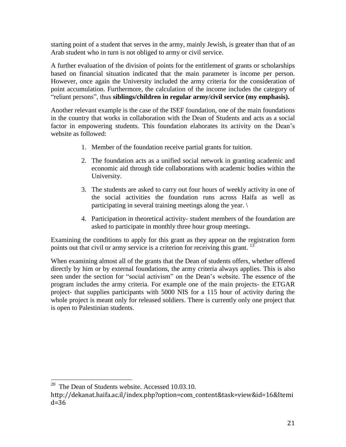starting point of a student that serves in the army, mainly Jewish, is greater than that of an Arab student who in turn is not obliged to army or civil service.

A further evaluation of the division of points for the entitlement of grants or scholarships based on financial situation indicated that the main parameter is income per person. However, once again the University included the army criteria for the consideration of point accumulation. Furthermore, the calculation of the income includes the category of ―reliant persons‖, thus **siblings/children in regular army/civil service (my emphasis).**

Another relevant example is the case of the ISEF foundation, one of the main foundations in the country that works in collaboration with the Dean of Students and acts as a social factor in empowering students. This foundation elaborates its activity on the Dean's website as followed:

- 1. Member of the foundation receive partial grants for tuition.
- 2. The foundation acts as a unified social network in granting academic and economic aid through tide collaborations with academic bodies within the University.
- 3. The students are asked to carry out four hours of weekly activity in one of the social activities the foundation runs across Haifa as well as participating in several training meetings along the year. \
- 4. Participation in theoretical activity- student members of the foundation are asked to participate in monthly three hour group meetings.

Examining the conditions to apply for this grant as they appear on the registration form points out that civil or army service is a criterion for receiving this grant.<sup>13</sup>

When examining almost all of the grants that the Dean of students offers, whether offered directly by him or by external foundations, the army criteria always applies. This is also seen under the section for "social activism" on the Dean's website. The essence of the program includes the army criteria. For example one of the main projects- the ETGAR project- that supplies participants with 5000 NIS for a 115 hour of activity during the whole project is meant only for released soldiers. There is currently only one project that is open to Palestinian students.

<sup>&</sup>lt;sup>20</sup> The Dean of Students website. Accessed 10.03.10.

http://dekanat.haifa.ac.il/index.php?option=com\_content&task=view&id=16&Itemi d=36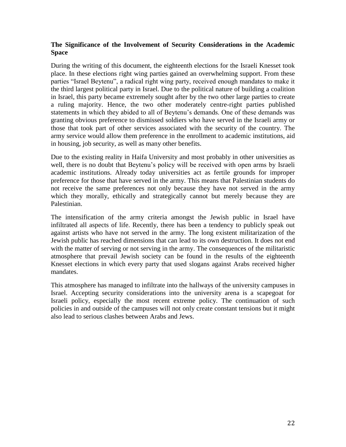#### **The Significance of the Involvement of Security Considerations in the Academic Space**

During the writing of this document, the eighteenth elections for the Israeli Knesset took place. In these elections right wing parties gained an overwhelming support. From these parties "Israel Beytenu", a radical right wing party, received enough mandates to make it the third largest political party in Israel. Due to the political nature of building a coalition in Israel, this party became extremely sought after by the two other large parties to create a ruling majority. Hence, the two other moderately centre-right parties published statements in which they abided to all of Beytenu's demands. One of these demands was granting obvious preference to dismissed soldiers who have served in the Israeli army or those that took part of other services associated with the security of the country. The army service would allow them preference in the enrollment to academic institutions, aid in housing, job security, as well as many other benefits.

Due to the existing reality in Haifa University and most probably in other universities as well, there is no doubt that Beytenu's policy will be received with open arms by Israeli academic institutions. Already today universities act as fertile grounds for improper preference for those that have served in the army. This means that Palestinian students do not receive the same preferences not only because they have not served in the army which they morally, ethically and strategically cannot but merely because they are Palestinian.

The intensification of the army criteria amongst the Jewish public in Israel have infiltrated all aspects of life. Recently, there has been a tendency to publicly speak out against artists who have not served in the army. The long existent militarization of the Jewish public has reached dimensions that can lead to its own destruction. It does not end with the matter of serving or not serving in the army. The consequences of the militaristic atmosphere that prevail Jewish society can be found in the results of the eighteenth Knesset elections in which every party that used slogans against Arabs received higher mandates.

This atmosphere has managed to infiltrate into the hallways of the university campuses in Israel. Accepting security considerations into the university arena is a scapegoat for Israeli policy, especially the most recent extreme policy. The continuation of such policies in and outside of the campuses will not only create constant tensions but it might also lead to serious clashes between Arabs and Jews.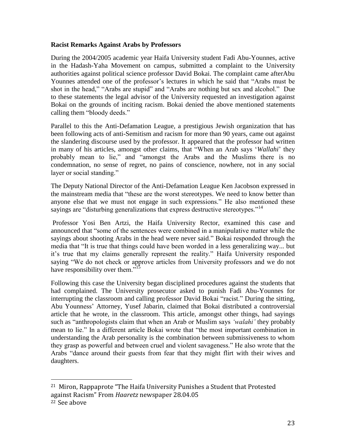#### **Racist Remarks Against Arabs by Professors**

During the 2004/2005 academic year Haifa University student Fadi Abu-Younnes, active in the Hadash-Yaha Movement on campus, submitted a complaint to the University authorities against political science professor David Bokai. The complaint came afterAbu Younnes attended one of the professor's lectures in which he said that "Arabs must be shot in the head," "Arabs are stupid" and "Arabs are nothing but sex and alcohol." Due to these statements the legal advisor of the University requested an investigation against Bokai on the grounds of inciting racism. Bokai denied the above mentioned statements calling them "bloody deeds."

Parallel to this the Anti-Defamation League, a prestigious Jewish organization that has been following acts of anti-Semitism and racism for more than 90 years, came out against the slandering discourse used by the professor. It appeared that the professor had written in many of his articles, amongst other claims, that "When an Arab says 'Wallahi' they probably mean to lie," and "amongst the Arabs and the Muslims there is no condemnation, no sense of regret, no pains of conscience, nowhere, not in any social layer or social standing."

The Deputy National Director of the Anti-Defamation League Ken Jacobson expressed in the mainstream media that "these are the worst stereotypes. We need to know better than anyone else that we must not engage in such expressions." He also mentioned these sayings are "disturbing generalizations that express destructive stereotypes."<sup>14</sup>

Professor Yosi Ben Artzi, the Haifa University Rector, examined this case and announced that "some of the sentences were combined in a manipulative matter while the sayings about shooting Arabs in the head were never said." Bokai responded through the media that "It is true that things could have been worded in a less generalizing way... but it's true that my claims generally represent the reality." Haifa University responded saying "We do not check or approve articles from University professors and we do not have responsibility over them."<sup>1</sup>

Following this case the University began disciplined procedures against the students that had complained. The University prosecutor asked to punish Fadi Abu-Younnes for interrupting the classroom and calling professor David Bokai "racist." During the sitting, Abu Younness' Attorney, Yusef Jabarin, claimed that Bokai distributed a controversial article that he wrote, in the classroom. This article, amongst other things, had sayings such as "anthropologists claim that when an Arab or Muslim says *'walahi'* they probably mean to lie." In a different article Bokai wrote that "the most important combination in understanding the Arab personality is the combination between submissiveness to whom they grasp as powerful and between cruel and violent savageness." He also wrote that the Arabs "dance around their guests from fear that they might flirt with their wives and daughters.

<sup>21</sup> Miron, Rappaprote "The Haifa University Punishes a Student that Protested against Racism" From *Haaretz* newspaper 28.04.05 22 See above

 $\overline{a}$